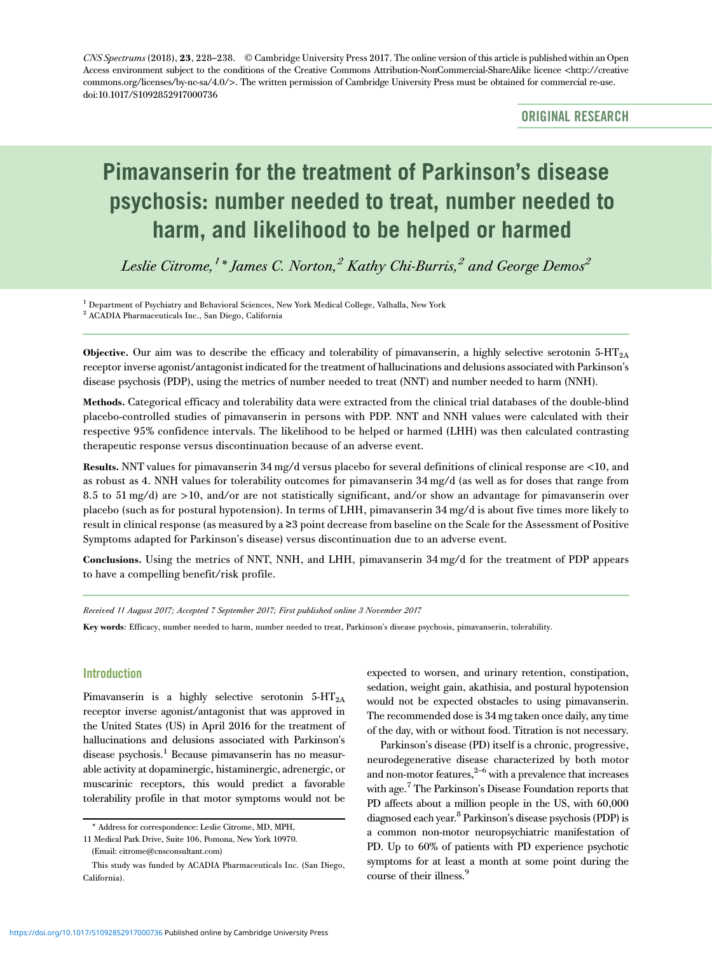CNS Spectrums (2018), 23, 228–238. © Cambridge University Press 2017. The online version of this article is published within an Open Access environment subject to the conditions of the Creative Commons Attribution-NonCommercial-ShareAlike licence <http://creative commons.org/licenses/by-nc-sa/4.0/>. The written permission of Cambridge University Press must be obtained for commercial re-use. doi[:10.1017/S1092852917000736](https://doi.org/10.1017/S1092852917000736)

ORIGINAL RESEARCH

# Pimavanserin for the treatment of Parkinson's disease psychosis: number needed to treat, number needed to harm, and likelihood to be helped or harmed

Leslie Citrome,  $^{\prime}$  \* James C. Norton, $^2$  Kathy Chi-Burris, $^2$  and George Demos $^2$ 

<sup>1</sup> Department of Psychiatry and Behavioral Sciences, New York Medical College, Valhalla, New York <sup>2</sup> ACADIA Pharmaceuticals Inc., San Diego, California

Objective. Our aim was to describe the efficacy and tolerability of pimavanserin, a highly selective serotonin  $5-\text{HT}_{2\text{A}}$ receptor inverse agonist/antagonist indicated for the treatment of hallucinations and delusions associated with Parkinson's disease psychosis (PDP), using the metrics of number needed to treat (NNT) and number needed to harm (NNH).

Methods. Categorical efficacy and tolerability data were extracted from the clinical trial databases of the double-blind placebo-controlled studies of pimavanserin in persons with PDP. NNT and NNH values were calculated with their respective 95% confidence intervals. The likelihood to be helped or harmed (LHH) was then calculated contrasting therapeutic response versus discontinuation because of an adverse event.

Results. NNT values for pimavanserin 34 mg/d versus placebo for several definitions of clinical response are <10, and as robust as 4. NNH values for tolerability outcomes for pimavanserin 34 mg/d (as well as for doses that range from 8.5 to 51 mg/d) are >10, and/or are not statistically significant, and/or show an advantage for pimavanserin over placebo (such as for postural hypotension). In terms of LHH, pimavanserin 34 mg/d is about five times more likely to result in clinical response (as measured by a ≥3 point decrease from baseline on the Scale for the Assessment of Positive Symptoms adapted for Parkinson's disease) versus discontinuation due to an adverse event.

Conclusions. Using the metrics of NNT, NNH, and LHH, pimavanserin 34 mg/d for the treatment of PDP appears to have a compelling benefit/risk profile.

Received 11 August 2017; Accepted 7 September 2017; First published online 3 November 2017

Key words: Efficacy, number needed to harm, number needed to treat, Parkinson's disease psychosis, pimavanserin, tolerability.

# Introduction

Pimavanserin is a highly selective serotonin  $5-HT_{2A}$ receptor inverse agonist/antagonist that was approved in the United States (US) in April 2016 for the treatment of hallucinations and delusions associated with Parkinson's disease psychosis.<sup>1</sup> Because pimavanserin has no measurable activity at dopaminergic, histaminergic, adrenergic, or muscarinic receptors, this would predict a favorable tolerability profile in that motor symptoms would not be expected to worsen, and urinary retention, constipation, sedation, weight gain, akathisia, and postural hypotension would not be expected obstacles to using pimavanserin. The recommended dose is 34 mg taken once daily, any time of the day, with or without food. Titration is not necessary.

Parkinson's disease (PD) itself is a chronic, progressive, neurodegenerative disease characterized by both motor and non-motor features, $2^{-6}$  $2^{-6}$  $2^{-6}$  with a prevalence that increases with age.<sup>7</sup> The Parkinson's Disease Foundation reports that PD affects about a million people in the US, with 60,000 diagnosed each year[.8](#page-9-0) Parkinson's disease psychosis (PDP) is a common non-motor neuropsychiatric manifestation of PD. Up to 60% of patients with PD experience psychotic symptoms for at least a month at some point during the course of their illness.<sup>9</sup>

<sup>\*</sup> Address for correspondence: Leslie Citrome, MD, MPH,

<sup>11</sup> Medical Park Drive, Suite 106, Pomona, New York 10970.

<sup>(</sup>Email: [citrome@cnsconsultant.com](mailto:citrome@cnsconsultant.com))

This study was funded by ACADIA Pharmaceuticals Inc. (San Diego, California).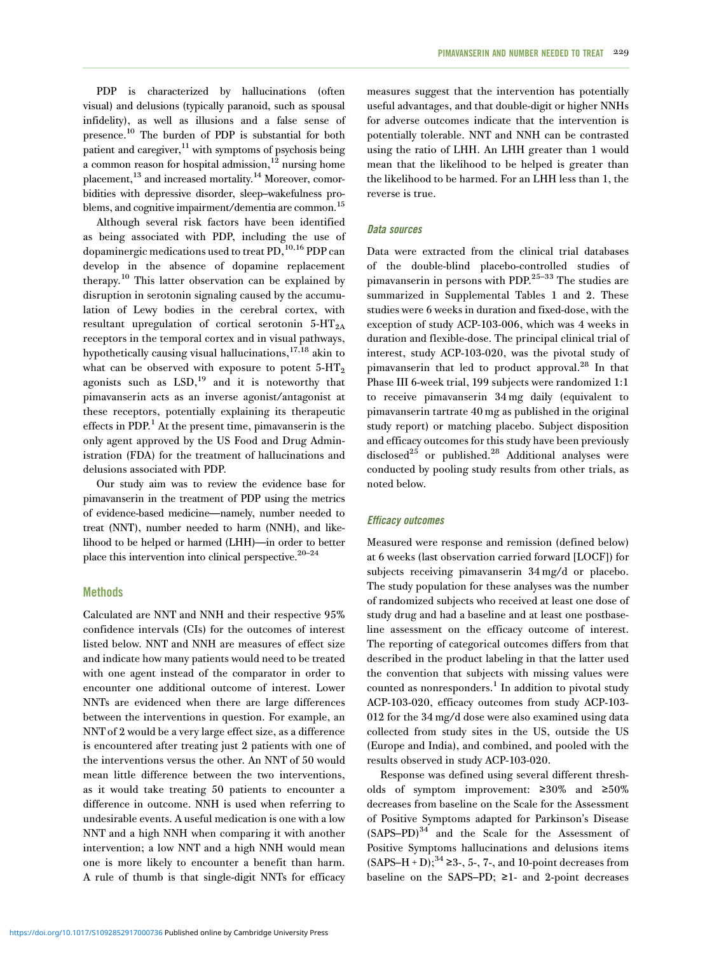PDP is characterized by hallucinations (often visual) and delusions (typically paranoid, such as spousal infidelity), as well as illusions and a false sense of presence.[10](#page-9-0) The burden of PDP is substantial for both patient and caregiver, $^{11}$  $^{11}$  $^{11}$  with symptoms of psychosis being a common reason for hospital admission, $12$  nursing home placement,<sup>13</sup> and increased mortality.<sup>14</sup> Moreover, comorbidities with depressive disorder, sleep–wakefulness problems, and cognitive impairment/dementia are common.<sup>15</sup>

Although several risk factors have been identified as being associated with PDP, including the use of dopaminergic medications used to treat PD,<sup>[10,16](#page-9-0)</sup> PDP can develop in the absence of dopamine replacement therapy.[10](#page-9-0) This latter observation can be explained by disruption in serotonin signaling caused by the accumulation of Lewy bodies in the cerebral cortex, with resultant upregulation of cortical serotonin  $5-HT_{2A}$ receptors in the temporal cortex and in visual pathways, hypothetically causing visual hallucinations, $17,18$  akin to what can be observed with exposure to potent  $5-HT_2$ agonists such as  $LSD$ ,<sup>19</sup> and it is noteworthy that pimavanserin acts as an inverse agonist/antagonist at these receptors, potentially explaining its therapeutic effects in PDP.<sup>[1](#page-8-0)</sup> At the present time, pimavanserin is the only agent approved by the US Food and Drug Administration (FDA) for the treatment of hallucinations and delusions associated with PDP.

Our study aim was to review the evidence base for pimavanserin in the treatment of PDP using the metrics of evidence-based medicine—namely, number needed to treat (NNT), number needed to harm (NNH), and likelihood to be helped or harmed (LHH)—in order to better place this intervention into clinical perspective.  $20-24$  $20-24$ 

## **Methods**

Calculated are NNT and NNH and their respective 95% confidence intervals (CIs) for the outcomes of interest listed below. NNT and NNH are measures of effect size and indicate how many patients would need to be treated with one agent instead of the comparator in order to encounter one additional outcome of interest. Lower NNTs are evidenced when there are large differences between the interventions in question. For example, an NNT of 2 would be a very large effect size, as a difference is encountered after treating just 2 patients with one of the interventions versus the other. An NNT of 50 would mean little difference between the two interventions, as it would take treating 50 patients to encounter a difference in outcome. NNH is used when referring to undesirable events. A useful medication is one with a low NNT and a high NNH when comparing it with another intervention; a low NNT and a high NNH would mean one is more likely to encounter a benefit than harm. A rule of thumb is that single-digit NNTs for efficacy measures suggest that the intervention has potentially useful advantages, and that double-digit or higher NNHs for adverse outcomes indicate that the intervention is potentially tolerable. NNT and NNH can be contrasted using the ratio of LHH. An LHH greater than 1 would mean that the likelihood to be helped is greater than the likelihood to be harmed. For an LHH less than 1, the reverse is true.

# Data sources

Data were extracted from the clinical trial databases of the double-blind placebo-controlled studies of pimavanserin in persons with PDP.[25](#page-9-0)–[33](#page-9-0) The studies are summarized in Supplemental [Tables 1](#page-3-0) and [2](#page-5-0). These studies were 6 weeks in duration and fixed-dose, with the exception of study ACP-103-006, which was 4 weeks in duration and flexible-dose. The principal clinical trial of interest, study ACP-103-020, was the pivotal study of pimavanserin that led to product approval.[28](#page-9-0) In that Phase III 6-week trial, 199 subjects were randomized 1:1 to receive pimavanserin 34 mg daily (equivalent to pimavanserin tartrate 40 mg as published in the original study report) or matching placebo. Subject disposition and efficacy outcomes for this study have been previously disclosed<sup>[25](#page-9-0)</sup> or published.<sup>[28](#page-9-0)</sup> Additional analyses were conducted by pooling study results from other trials, as noted below.

## Efficacy outcomes

Measured were response and remission (defined below) at 6 weeks (last observation carried forward [LOCF]) for subjects receiving pimavanserin 34 mg/d or placebo. The study population for these analyses was the number of randomized subjects who received at least one dose of study drug and had a baseline and at least one postbaseline assessment on the efficacy outcome of interest. The reporting of categorical outcomes differs from that described in the product labeling in that the latter used the convention that subjects with missing values were counted as nonresponders.<sup>[1](#page-8-0)</sup> In addition to pivotal study ACP-103-020, efficacy outcomes from study ACP-103- 012 for the 34 mg/d dose were also examined using data collected from study sites in the US, outside the US (Europe and India), and combined, and pooled with the results observed in study ACP-103-020.

Response was defined using several different thresholds of symptom improvement: ≥30% and ≥50% decreases from baseline on the Scale for the Assessment of Positive Symptoms adapted for Parkinson's Disease  $(SAPS-PD)^{34}$  $(SAPS-PD)^{34}$  $(SAPS-PD)^{34}$  and the Scale for the Assessment of Positive Symptoms hallucinations and delusions items  $(SAPS-H + D);$ <sup>[34](#page-9-0)</sup> ≥3-, 5-, 7-, and 10-point decreases from baseline on the SAPS–PD;  $\geq 1$ - and 2-point decreases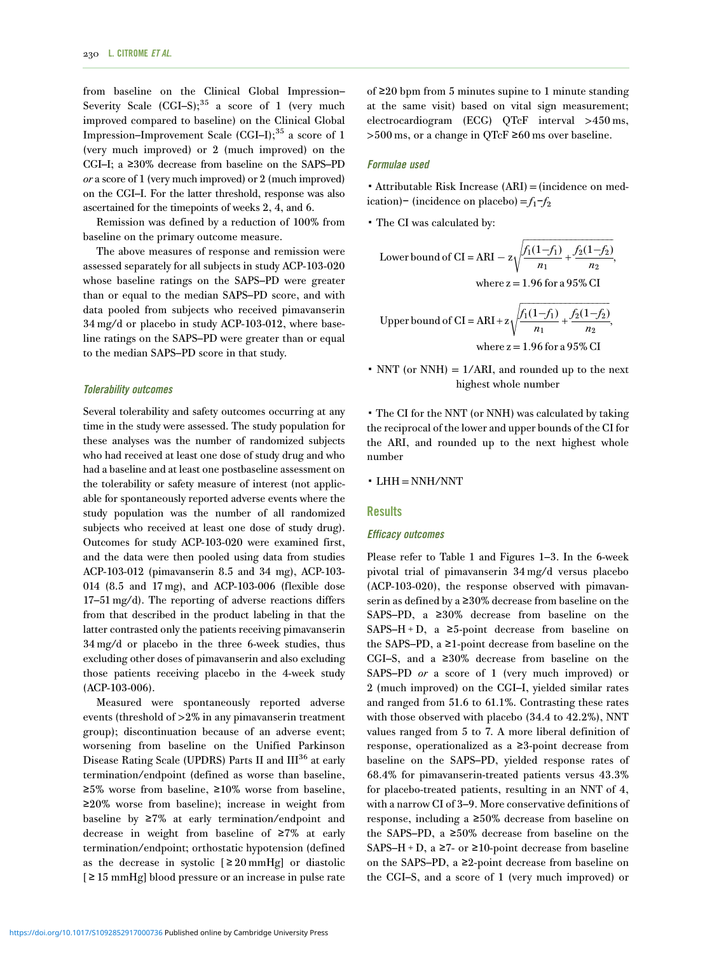from baseline on the Clinical Global Impression– Severity Scale  $(GGI-S)$ ;<sup>[35](#page-9-0)</sup> a score of 1 (very much improved compared to baseline) on the Clinical Global Impression–Improvement Scale  $(CGI-I);$ <sup>[35](#page-9-0)</sup> a score of 1 (very much improved) or 2 (much improved) on the CGI–I; a ≥30% decrease from baseline on the SAPS–PD or a score of 1 (very much improved) or 2 (much improved) on the CGI–I. For the latter threshold, response was also ascertained for the timepoints of weeks 2, 4, and 6.

Remission was defined by a reduction of 100% from baseline on the primary outcome measure.

The above measures of response and remission were assessed separately for all subjects in study ACP-103-020 whose baseline ratings on the SAPS–PD were greater than or equal to the median SAPS–PD score, and with data pooled from subjects who received pimavanserin 34 mg/d or placebo in study ACP-103-012, where baseline ratings on the SAPS–PD were greater than or equal to the median SAPS–PD score in that study.

#### Tolerability outcomes

Several tolerability and safety outcomes occurring at any time in the study were assessed. The study population for these analyses was the number of randomized subjects who had received at least one dose of study drug and who had a baseline and at least one postbaseline assessment on the tolerability or safety measure of interest (not applicable for spontaneously reported adverse events where the study population was the number of all randomized subjects who received at least one dose of study drug). Outcomes for study ACP-103-020 were examined first, and the data were then pooled using data from studies ACP-103-012 (pimavanserin 8.5 and 34 mg), ACP-103- 014 (8.5 and 17 mg), and ACP-103-006 (flexible dose 17–51 mg/d). The reporting of adverse reactions differs from that described in the product labeling in that the latter contrasted only the patients receiving pimavanserin 34 mg/d or placebo in the three 6-week studies, thus excluding other doses of pimavanserin and also excluding those patients receiving placebo in the 4-week study (ACP-103-006).

Measured were spontaneously reported adverse events (threshold of >2% in any pimavanserin treatment group); discontinuation because of an adverse event; worsening from baseline on the Unified Parkinson Disease Rating Scale (UPDRS) Parts II and III<sup>[36](#page-9-0)</sup> at early termination/endpoint (defined as worse than baseline, ≥5% worse from baseline, ≥10% worse from baseline, ≥20% worse from baseline); increase in weight from baseline by ≥7% at early termination/endpoint and decrease in weight from baseline of ≥7% at early termination/endpoint; orthostatic hypotension (defined as the decrease in systolic  $[220 \text{ mmHg}]$  or diastolic [ ≥ 15 mmHg] blood pressure or an increase in pulse rate of ≥20 bpm from 5 minutes supine to 1 minute standing at the same visit) based on vital sign measurement; electrocardiogram (ECG) QTcF interval >450 ms, >500 ms, or a change in QTcF ≥60 ms over baseline.

## Formulae used

▪Attributable Risk Increase (ARI) =(incidence on medication)− (incidence on placebo) =  $f_1$ - $f_2$ 

▪ The CI was calculated by:

Lower bound of CI = ARI – 
$$
z \sqrt{\frac{f_1(1-f_1)}{n_1} + \frac{f_2(1-f_2)}{n_2}}
$$
,  
where  $z = 1.96$  for a 95% CI

Upper bound of CI = ARI + 
$$
z \sqrt{\frac{f_1(1-f_1)}{n_1} + \frac{f_2(1-f_2)}{n_2}}
$$
,  
where  $z = 1.96$  for a 95% CI

 $\cdot$  NNT (or NNH) = 1/ARI, and rounded up to the next highest whole number

▪ The CI for the NNT (or NNH) was calculated by taking the reciprocal of the lower and upper bounds of the CI for the ARI, and rounded up to the next highest whole number

▪ LHH = NNH/NNT

## **Results**

## Efficacy outcomes

Please refer to [Table 1](#page-3-0) and [Figures 1](#page-3-0)–[3.](#page-4-0) In the 6-week pivotal trial of pimavanserin 34 mg/d versus placebo (ACP-103-020), the response observed with pimavanserin as defined by a ≥30% decrease from baseline on the SAPS–PD, a ≥30% decrease from baseline on the SAPS–H + D, a  $\geq$ 5-point decrease from baseline on the SAPS–PD, a ≥1-point decrease from baseline on the CGI–S, and a ≥30% decrease from baseline on the SAPS–PD or a score of 1 (very much improved) or 2 (much improved) on the CGI–I, yielded similar rates and ranged from 51.6 to 61.1%. Contrasting these rates with those observed with placebo (34.4 to 42.2%), NNT values ranged from 5 to 7. A more liberal definition of response, operationalized as a ≥3-point decrease from baseline on the SAPS–PD, yielded response rates of 68.4% for pimavanserin-treated patients versus 43.3% for placebo-treated patients, resulting in an NNT of 4, with a narrow CI of 3–9. More conservative definitions of response, including a ≥50% decrease from baseline on the SAPS–PD, a ≥50% decrease from baseline on the SAPS–H + D, a  $\geq$ 7- or  $\geq$ 10-point decrease from baseline on the SAPS–PD, a ≥2-point decrease from baseline on the CGI–S, and a score of 1 (very much improved) or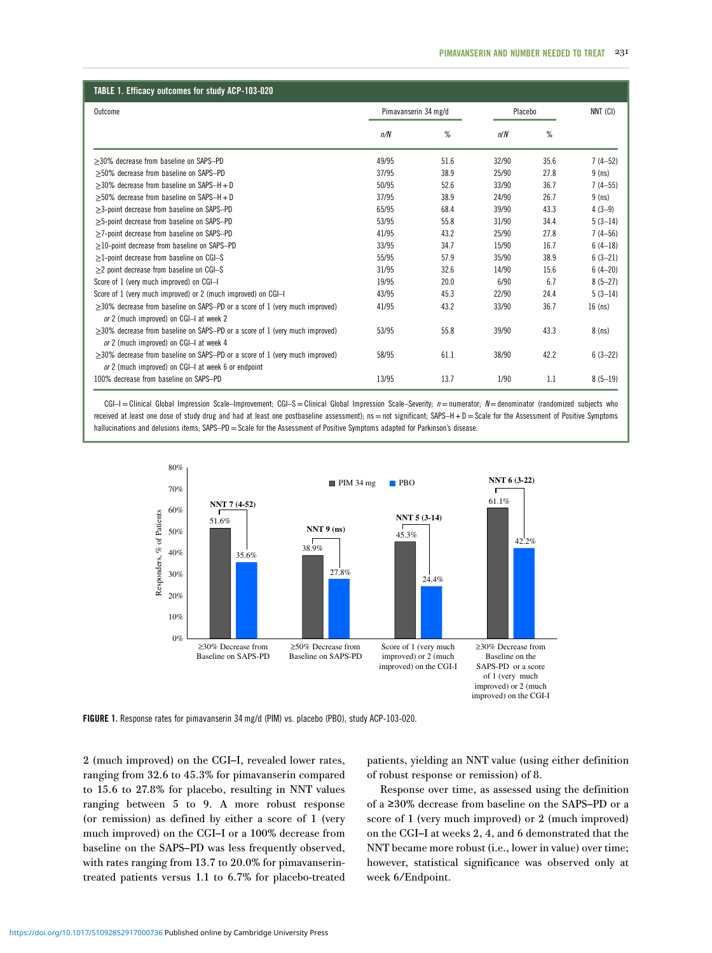<span id="page-3-0"></span>

| TABLE 1. Efficacy outcomes for study ACP-103-020                                                                                         |                      |      |         |      |             |  |  |
|------------------------------------------------------------------------------------------------------------------------------------------|----------------------|------|---------|------|-------------|--|--|
| Outcome                                                                                                                                  | Pimavanserin 34 mg/d |      | Placebo |      | NNT (CI)    |  |  |
|                                                                                                                                          | n/N                  | %    | n/N     | %    |             |  |  |
| $>30\%$ decrease from baseline on SAPS-PD                                                                                                | 49/95                | 51.6 | 32/90   | 35.6 | $7(4-52)$   |  |  |
| >50% decrease from baseline on SAPS-PD                                                                                                   | 37/95                | 38.9 | 25/90   | 27.8 | $9$ (ns)    |  |  |
| $>30\%$ decrease from baseline on SAPS-H + D                                                                                             | 50/95                | 52.6 | 33/90   | 36.7 | $7(4-55)$   |  |  |
| $>50\%$ decrease from baseline on SAPS-H + D                                                                                             | 37/95                | 38.9 | 24/90   | 26.7 | $9$ (ns)    |  |  |
| $\geq$ 3-point decrease from baseline on SAPS-PD                                                                                         | 65/95                | 68.4 | 39/90   | 43.3 | $4(3-9)$    |  |  |
| $\geq$ 5-point decrease from baseline on SAPS-PD                                                                                         | 53/95                | 55.8 | 31/90   | 34.4 | $5(3-14)$   |  |  |
| >7-point decrease from baseline on SAPS-PD                                                                                               | 41/95                | 43.2 | 25/90   | 27.8 | $7(4 - 56)$ |  |  |
| $\geq$ 10-point decrease from baseline on SAPS-PD                                                                                        | 33/95                | 34.7 | 15/90   | 16.7 | $6(4-18)$   |  |  |
| $\geq$ 1-point decrease from baseline on CGI-S                                                                                           | 55/95                | 57.9 | 35/90   | 38.9 | $6(3-21)$   |  |  |
| $\geq$ 2 point decrease from baseline on CGI-S                                                                                           | 31/95                | 32.6 | 14/90   | 15.6 | $6(4-20)$   |  |  |
| Score of 1 (very much improved) on CGI-I                                                                                                 | 19/95                | 20.0 | 6/90    | 6.7  | $8(5-27)$   |  |  |
| Score of 1 (very much improved) or 2 (much improved) on CGI-I                                                                            | 43/95                | 45.3 | 22/90   | 24.4 | $5(3-14)$   |  |  |
| $\geq$ 30% decrease from baseline on SAPS-PD or a score of 1 (very much improved)<br>or 2 (much improved) on CGI-I at week 2             | 41/95                | 43.2 | 33/90   | 36.7 | $16$ (ns)   |  |  |
| $\geq$ 30% decrease from baseline on SAPS-PD or a score of 1 (very much improved)<br>or 2 (much improved) on CGI-I at week 4             | 53/95                | 55.8 | 39/90   | 43.3 | $8$ (ns)    |  |  |
| $\geq$ 30% decrease from baseline on SAPS-PD or a score of 1 (very much improved)<br>or 2 (much improved) on CGI-I at week 6 or endpoint | 58/95                | 61.1 | 38/90   | 42.2 | $6(3-22)$   |  |  |
| 100% decrease from baseline on SAPS-PD                                                                                                   | 13/95                | 13.7 | 1/90    | 1.1  | $8(5-19)$   |  |  |

 $CGI-I = Clifford$  Global Impression Scale–Improvement;  $CGI-S = Clinical Global$  Impression Scale–Severity;  $n=$  numerator;  $N=$  denominator (randomized subjects who received at least one dose of study drug and had at least one postbaseline assessment); ns = not significant; SAPS-H + D = Scale for the Assessment of Positive Symptoms hallucinations and delusions items; SAPS-PD = Scale for the Assessment of Positive Symptoms adapted for Parkinson's disease.



FIGURE 1. Response rates for pimavanserin 34 mg/d (PIM) vs. placebo (PBO), study ACP-103-020.

2 (much improved) on the CGI–I, revealed lower rates, ranging from 32.6 to 45.3% for pimavanserin compared to 15.6 to 27.8% for placebo, resulting in NNT values ranging between 5 to 9. A more robust response (or remission) as defined by either a score of 1 (very much improved) on the CGI–I or a 100% decrease from baseline on the SAPS–PD was less frequently observed, with rates ranging from 13.7 to 20.0% for pimavanserintreated patients versus 1.1 to 6.7% for placebo-treated

patients, yielding an NNT value (using either definition of robust response or remission) of 8.

Response over time, as assessed using the definition of a ≥30% decrease from baseline on the SAPS–PD or a score of 1 (very much improved) or 2 (much improved) on the CGI–I at weeks 2, 4, and 6 demonstrated that the NNT became more robust (i.e., lower in value) over time; however, statistical significance was observed only at week 6/Endpoint.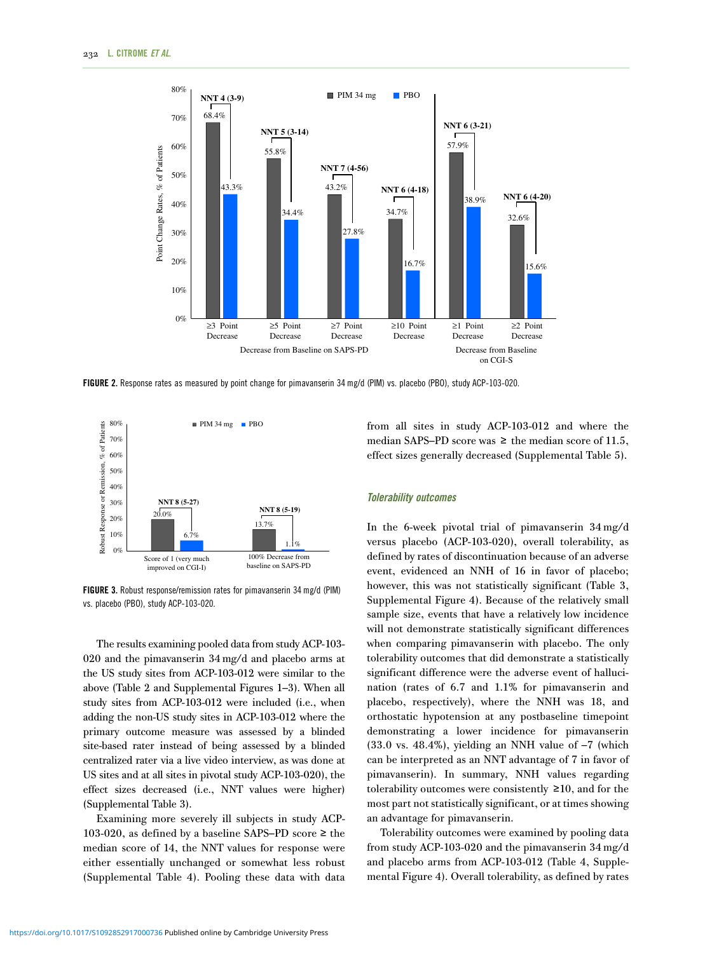<span id="page-4-0"></span>

FIGURE 2. Response rates as measured by point change for pimavanserin 34 mg/d (PIM) vs. placebo (PBO), study ACP-103-020.



FIGURE 3. Robust response/remission rates for pimavanserin 34 mg/d (PIM) vs. placebo (PBO), study ACP-103-020.

The results examining pooled data from study ACP-103- 020 and the pimavanserin 34 mg/d and placebo arms at the US study sites from ACP-103-012 were similar to the above [\(Table 2](#page-5-0) and Supplemental Figures 1–3). When all study sites from ACP-103-012 were included (i.e., when adding the non-US study sites in ACP-103-012 where the primary outcome measure was assessed by a blinded site-based rater instead of being assessed by a blinded centralized rater via a live video interview, as was done at US sites and at all sites in pivotal study ACP-103-020), the effect sizes decreased (i.e., NNT values were higher) (Supplemental Table 3).

Examining more severely ill subjects in study ACP-103-020, as defined by a baseline SAPS–PD score ≥ the median score of 14, the NNT values for response were either essentially unchanged or somewhat less robust (Supplemental Table 4). Pooling these data with data

from all sites in study ACP-103-012 and where the median SAPS–PD score was  $\geq$  the median score of 11.5, effect sizes generally decreased (Supplemental Table 5).

#### Tolerability outcomes

In the 6-week pivotal trial of pimavanserin 34 mg/d versus placebo (ACP-103-020), overall tolerability, as defined by rates of discontinuation because of an adverse event, evidenced an NNH of 16 in favor of placebo; however, this was not statistically significant [\(Table 3,](#page-6-0) Supplemental Figure 4). Because of the relatively small sample size, events that have a relatively low incidence will not demonstrate statistically significant differences when comparing pimavanserin with placebo. The only tolerability outcomes that did demonstrate a statistically significant difference were the adverse event of hallucination (rates of 6.7 and 1.1% for pimavanserin and placebo, respectively), where the NNH was 18, and orthostatic hypotension at any postbaseline timepoint demonstrating a lower incidence for pimavanserin  $(33.0 \text{ vs. } 48.4\%)$ , yielding an NNH value of  $-7$  (which can be interpreted as an NNT advantage of 7 in favor of pimavanserin). In summary, NNH values regarding tolerability outcomes were consistently ≥10, and for the most part not statistically significant, or at times showing an advantage for pimavanserin.

Tolerability outcomes were examined by pooling data from study ACP-103-020 and the pimavanserin 34 mg/d and placebo arms from ACP-103-012 [\(Table 4](#page-7-0), Supplemental Figure 4). Overall tolerability, as defined by rates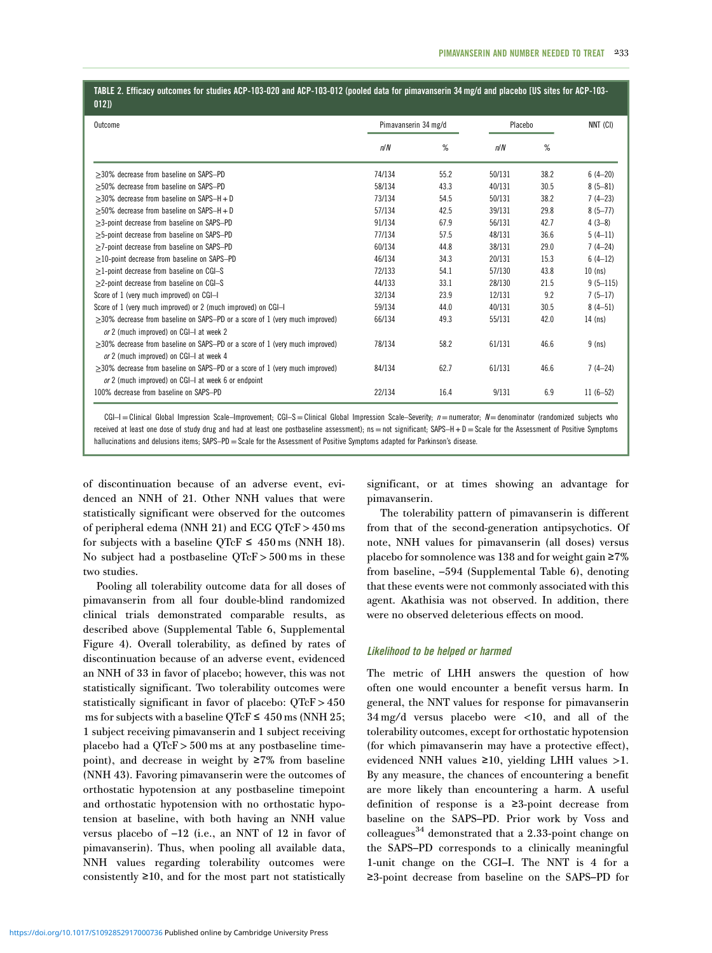## <span id="page-5-0"></span>TABLE 2. Efficacy outcomes for studies ACP-103-020 and ACP-103-012 (pooled data for pimavanserin 34 mg/d and placebo [US sites for ACP-103- 012])

| Outcome                                                                           | Pimavanserin 34 mg/d |      | Placebo |      | NNT (CI)     |
|-----------------------------------------------------------------------------------|----------------------|------|---------|------|--------------|
|                                                                                   | n/N                  | %    | n/N     | ℅    |              |
| $>30\%$ decrease from baseline on SAPS-PD                                         | 74/134               | 55.2 | 50/131  | 38.2 | $6(4-20)$    |
| >50% decrease from baseline on SAPS-PD                                            | 58/134               | 43.3 | 40/131  | 30.5 | $8(5 - 81)$  |
| $>30\%$ decrease from baseline on SAPS-H + D                                      | 73/134               | 54.5 | 50/131  | 38.2 | $7(4-23)$    |
| $>50\%$ decrease from baseline on SAPS-H + D                                      | 57/134               | 42.5 | 39/131  | 29.8 | $8(5 - 77)$  |
| >3-point decrease from baseline on SAPS-PD                                        | 91/134               | 67.9 | 56/131  | 42.7 | $4(3-8)$     |
| $\geq$ 5-point decrease from baseline on SAPS-PD                                  | 77/134               | 57.5 | 48/131  | 36.6 | $5(4-11)$    |
| >7-point decrease from baseline on SAPS-PD                                        | 60/134               | 44.8 | 38/131  | 29.0 | $7(4-24)$    |
| $>$ 10-point decrease from baseline on SAPS-PD                                    | 46/134               | 34.3 | 20/131  | 15.3 | $6(4-12)$    |
| $>1$ -point decrease from baseline on CGI-S                                       | 72/133               | 54.1 | 57/130  | 43.8 | $10$ (ns)    |
| $\geq$ 2-point decrease from baseline on CGI-S                                    | 44/133               | 33.1 | 28/130  | 21.5 | $9(5 - 115)$ |
| Score of 1 (very much improved) on CGI-I                                          | 32/134               | 23.9 | 12/131  | 9.2  | $7(5-17)$    |
| Score of 1 (very much improved) or 2 (much improved) on CGI-I                     | 59/134               | 44.0 | 40/131  | 30.5 | $8(4-51)$    |
| $\geq$ 30% decrease from baseline on SAPS-PD or a score of 1 (very much improved) | 66/134               | 49.3 | 55/131  | 42.0 | $14$ (ns)    |
| or 2 (much improved) on CGI-I at week 2                                           |                      |      |         |      |              |
| $\geq$ 30% decrease from baseline on SAPS-PD or a score of 1 (very much improved) | 78/134               | 58.2 | 61/131  | 46.6 | $9$ (ns)     |
| or 2 (much improved) on CGI-I at week 4                                           |                      |      |         |      |              |
| $\geq$ 30% decrease from baseline on SAPS-PD or a score of 1 (very much improved) | 84/134               | 62.7 | 61/131  | 46.6 | $7(4-24)$    |
| or 2 (much improved) on CGI-I at week 6 or endpoint                               |                      |      |         |      |              |
| 100% decrease from baseline on SAPS-PD                                            | 22/134               | 16.4 | 9/131   | 6.9  | $11(6-52)$   |

CGI-I = Clinical Global Impression Scale-Improvement; CGI-S = Clinical Global Impression Scale-Severity;  $n=$  numerator;  $N=$  denominator (randomized subjects who received at least one dose of study drug and had at least one postbaseline assessment);  $ns = not$  significant;  $SAPS-H+D = Scale$  for the Assessment of Positive Symptoms hallucinations and delusions items; SAPS–PD = Scale for the Assessment of Positive Symptoms adapted for Parkinson's disease.

of discontinuation because of an adverse event, evidenced an NNH of 21. Other NNH values that were statistically significant were observed for the outcomes of peripheral edema (NNH 21) and ECG QTcF > 450 ms for subjects with a baseline QTcF  $\leq 450$  ms (NNH 18). No subject had a postbaseline  $QTeF > 500$  ms in these two studies.

Pooling all tolerability outcome data for all doses of pimavanserin from all four double-blind randomized clinical trials demonstrated comparable results, as described above (Supplemental Table 6, Supplemental Figure 4). Overall tolerability, as defined by rates of discontinuation because of an adverse event, evidenced an NNH of 33 in favor of placebo; however, this was not statistically significant. Two tolerability outcomes were statistically significant in favor of placebo: QTcF > 450 ms for subjects with a baseline QTcF  $\leq 450$  ms (NNH 25; 1 subject receiving pimavanserin and 1 subject receiving placebo had a  $QTcF > 500$  ms at any postbaseline timepoint), and decrease in weight by ≥7% from baseline (NNH 43). Favoring pimavanserin were the outcomes of orthostatic hypotension at any postbaseline timepoint and orthostatic hypotension with no orthostatic hypotension at baseline, with both having an NNH value versus placebo of –12 (i.e., an NNT of 12 in favor of pimavanserin). Thus, when pooling all available data, NNH values regarding tolerability outcomes were consistently  $\geq 10$ , and for the most part not statistically significant, or at times showing an advantage for pimavanserin.

The tolerability pattern of pimavanserin is different from that of the second-generation antipsychotics. Of note, NNH values for pimavanserin (all doses) versus placebo for somnolence was 138 and for weight gain ≥7% from baseline, –594 (Supplemental Table 6), denoting that these events were not commonly associated with this agent. Akathisia was not observed. In addition, there were no observed deleterious effects on mood.

## Likelihood to be helped or harmed

The metric of LHH answers the question of how often one would encounter a benefit versus harm. In general, the NNT values for response for pimavanserin 34 mg/d versus placebo were <10, and all of the tolerability outcomes, except for orthostatic hypotension (for which pimavanserin may have a protective effect), evidenced NNH values ≥10, yielding LHH values >1. By any measure, the chances of encountering a benefit are more likely than encountering a harm. A useful definition of response is a ≥3-point decrease from baseline on the SAPS–PD. Prior work by Voss and colleagues $^{34}$  $^{34}$  $^{34}$  demonstrated that a 2.33-point change on the SAPS–PD corresponds to a clinically meaningful 1-unit change on the CGI–I. The NNT is 4 for a ≥3-point decrease from baseline on the SAPS–PD for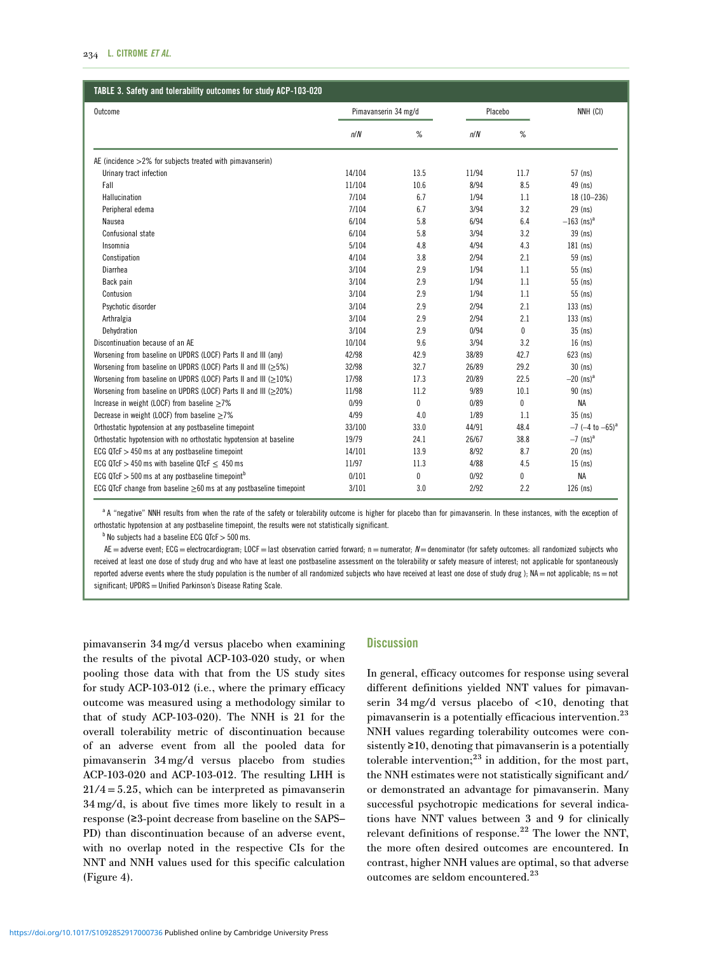<span id="page-6-0"></span>

| Outcome                                                                | Pimavanserin 34 mg/d |      | Placebo |              | NNH (CI)                         |
|------------------------------------------------------------------------|----------------------|------|---------|--------------|----------------------------------|
|                                                                        | n/N                  | %    | n/N     | %            |                                  |
| AE (incidence $>2\%$ for subjects treated with pimavanserin)           |                      |      |         |              |                                  |
| Urinary tract infection                                                | 14/104               | 13.5 | 11/94   | 11.7         | 57 (ns)                          |
| Fall                                                                   | 11/104               | 10.6 | 8/94    | 8.5          | 49 (ns)                          |
| Hallucination                                                          | 7/104                | 6.7  | 1/94    | 1.1          | $18(10 - 236)$                   |
| Peripheral edema                                                       | 7/104                | 6.7  | 3/94    | 3.2          | 29 (ns)                          |
| Nausea                                                                 | 6/104                | 5.8  | 6/94    | 6.4          | $-163$ (ns) <sup>a</sup>         |
| Confusional state                                                      | 6/104                | 5.8  | 3/94    | 3.2          | 39 (ns)                          |
| Insomnia                                                               | 5/104                | 4.8  | 4/94    | 4.3          | 181 (ns)                         |
| Constipation                                                           | 4/104                | 3.8  | 2/94    | 2.1          | 59 (ns)                          |
| Diarrhea                                                               | 3/104                | 2.9  | 1/94    | 1.1          | 55 (ns)                          |
| Back pain                                                              | 3/104                | 2.9  | 1/94    | 1.1          | 55 (ns)                          |
| Contusion                                                              | 3/104                | 2.9  | 1/94    | 1.1          | 55 (ns)                          |
| Psychotic disorder                                                     | 3/104                | 2.9  | 2/94    | 2.1          | $133$ (ns)                       |
| Arthralgia                                                             | 3/104                | 2.9  | 2/94    | 2.1          | $133$ (ns)                       |
| Dehydration                                                            | 3/104                | 2.9  | 0/94    | $\mathbf{0}$ | 35 (ns)                          |
| Discontinuation because of an AE                                       | 10/104               | 9.6  | 3/94    | 3.2          | $16$ (ns)                        |
| Worsening from baseline on UPDRS (LOCF) Parts II and III (any)         | 42/98                | 42.9 | 38/89   | 42.7         | $623$ (ns)                       |
| Worsening from baseline on UPDRS (LOCF) Parts II and III ( $\geq$ 5%)  | 32/98                | 32.7 | 26/89   | 29.2         | $30$ (ns)                        |
| Worsening from baseline on UPDRS (LOCF) Parts II and III ( $\geq$ 10%) | 17/98                | 17.3 | 20/89   | 22.5         | $-20$ (ns) <sup>a</sup>          |
| Worsening from baseline on UPDRS (LOCF) Parts II and III ( $\geq$ 20%) | 11/98                | 11.2 | 9/89    | 10.1         | $90$ (ns)                        |
| Increase in weight (LOCF) from baseline $\geq$ 7%                      | 0/99                 | 0    | 0/89    | 0            | <b>NA</b>                        |
| Decrease in weight (LOCF) from baseline $\geq$ 7%                      | 4/99                 | 4.0  | 1/89    | 1.1          | $35$ (ns)                        |
| Orthostatic hypotension at any postbaseline timepoint                  | 33/100               | 33.0 | 44/91   | 48.4         | $-7$ (-4 to $-65$ ) <sup>a</sup> |
| Orthostatic hypotension with no orthostatic hypotension at baseline    | 19/79                | 24.1 | 26/67   | 38.8         | $-7$ (ns) <sup>a</sup>           |
| ECG QTcF $>$ 450 ms at any postbaseline timepoint                      | 14/101               | 13.9 | 8/92    | 8.7          | $20$ (ns)                        |
| ECG QTcF $>$ 450 ms with baseline QTcF $<$ 450 ms                      | 11/97                | 11.3 | 4/88    | 4.5          | $15$ (ns)                        |
| ECG QTcF $>$ 500 ms at any postbaseline timepoint <sup>b</sup>         | 0/101                | 0    | 0/92    | 0            | <b>NA</b>                        |
| ECG QTcF change from baseline ≥60 ms at any postbaseline timepoint     | 3/101                | 3.0  | 2/92    | 2.2          | $126$ (ns)                       |

a A "negative" NNH results from when the rate of the safety or tolerability outcome is higher for placebo than for pimavanserin. In these instances, with the exception of orthostatic hypotension at any postbaseline timepoint, the results were not statistically significant.

 $<sup>b</sup>$  No subjects had a baseline ECG QTcF  $>500$  ms.</sup>

 $AE =$  adverse event; ECG = electrocardiogram; LOCF = last observation carried forward; n = numerator;  $N =$  denominator (for safety outcomes: all randomized subjects who received at least one dose of study drug and who have at least one postbaseline assessment on the tolerability or safety measure of interest; not applicable for spontaneously reported adverse events where the study population is the number of all randomized subjects who have received at least one dose of study drug ); NA = not applicable; ns = not significant; UPDRS = Unified Parkinson's Disease Rating Scale.

pimavanserin 34 mg/d versus placebo when examining the results of the pivotal ACP-103-020 study, or when pooling those data with that from the US study sites for study ACP-103-012 (i.e., where the primary efficacy outcome was measured using a methodology similar to that of study ACP-103-020). The NNH is 21 for the overall tolerability metric of discontinuation because of an adverse event from all the pooled data for pimavanserin 34 mg/d versus placebo from studies ACP-103-020 and ACP-103-012. The resulting LHH is  $21/4 = 5.25$ , which can be interpreted as pimavanserin 34 mg/d, is about five times more likely to result in a response (≥3-point decrease from baseline on the SAPS– PD) than discontinuation because of an adverse event, with no overlap noted in the respective CIs for the NNT and NNH values used for this specific calculation [\(Figure 4\)](#page-8-0).

# **Discussion**

In general, efficacy outcomes for response using several different definitions yielded NNT values for pimavanserin 34 mg/d versus placebo of <10, denoting that pimavanserin is a potentially efficacious intervention.<sup>[23](#page-9-0)</sup> NNH values regarding tolerability outcomes were consistently ≥10, denoting that pimavanserin is a potentially tolerable intervention; $^{23}$  in addition, for the most part, the NNH estimates were not statistically significant and/ or demonstrated an advantage for pimavanserin. Many successful psychotropic medications for several indications have NNT values between 3 and 9 for clinically relevant definitions of response.<sup>[22](#page-9-0)</sup> The lower the NNT, the more often desired outcomes are encountered. In contrast, higher NNH values are optimal, so that adverse outcomes are seldom encountered.[23](#page-9-0)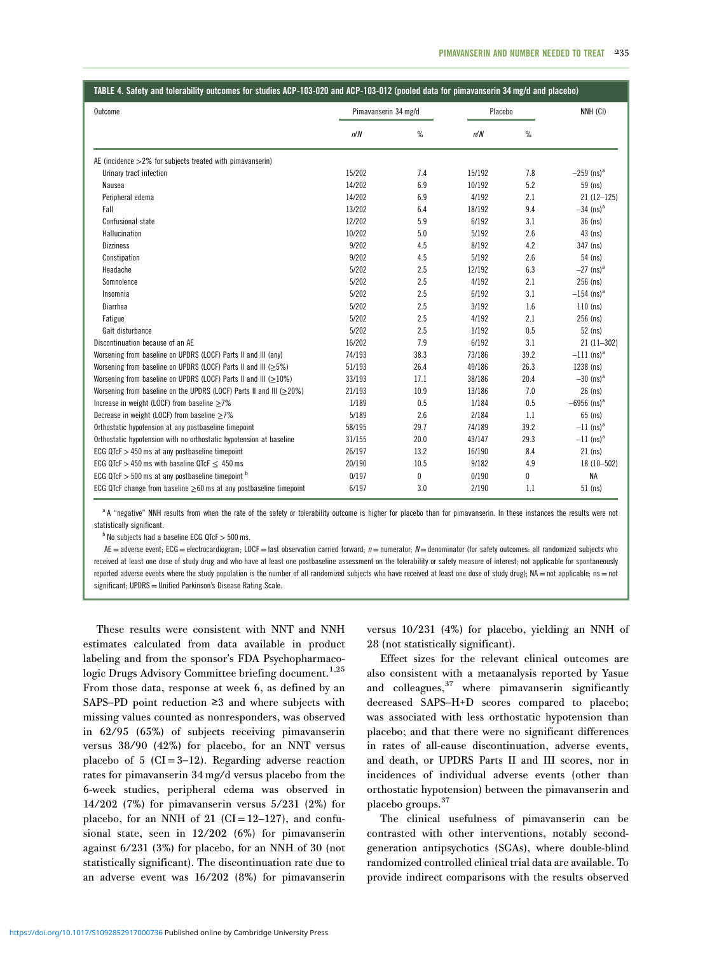<span id="page-7-0"></span>

|  | TABLE 4. Safety and tolerability outcomes for studies ACP-103-020 and ACP-103-012 (pooled data for pimavanserin 34 mg/d and placebo) |  |  |
|--|--------------------------------------------------------------------------------------------------------------------------------------|--|--|
|  |                                                                                                                                      |  |  |

| Outcome                                                                    | Pimavanserin 34 mg/d |      | Placebo |      | NNH (CI)                  |
|----------------------------------------------------------------------------|----------------------|------|---------|------|---------------------------|
|                                                                            | n/N                  | %    | n/N     | %    |                           |
| AE (incidence $>2\%$ for subjects treated with pimavanserin)               |                      |      |         |      |                           |
| Urinary tract infection                                                    | 15/202               | 7.4  | 15/192  | 7.8  | $-259$ (ns) <sup>a</sup>  |
| Nausea                                                                     | 14/202               | 6.9  | 10/192  | 5.2  | 59 (ns)                   |
| Peripheral edema                                                           | 14/202               | 6.9  | 4/192   | 2.1  | $21(12-125)$              |
| Fall                                                                       | 13/202               | 6.4  | 18/192  | 9.4  | $-34$ (ns) <sup>a</sup>   |
| Confusional state                                                          | 12/202               | 5.9  | 6/192   | 3.1  | $36$ (ns)                 |
| Hallucination                                                              | 10/202               | 5.0  | 5/192   | 2.6  | $43$ (ns)                 |
| <b>Dizziness</b>                                                           | 9/202                | 4.5  | 8/192   | 4.2  | 347 (ns)                  |
| Constipation                                                               | 9/202                | 4.5  | 5/192   | 2.6  | 54 (ns)                   |
| Headache                                                                   | 5/202                | 2.5  | 12/192  | 6.3  | $-27$ (ns) <sup>a</sup>   |
| Somnolence                                                                 | 5/202                | 2.5  | 4/192   | 2.1  | 256 (ns)                  |
| Insomnia                                                                   | 5/202                | 2.5  | 6/192   | 3.1  | $-154$ (ns) <sup>a</sup>  |
| Diarrhea                                                                   | 5/202                | 2.5  | 3/192   | 1.6  | $110$ (ns)                |
| Fatigue                                                                    | 5/202                | 2.5  | 4/192   | 2.1  | 256 (ns)                  |
| Gait disturbance                                                           | 5/202                | 2.5  | 1/192   | 0.5  | 52 (ns)                   |
| Discontinuation because of an AE                                           | 16/202               | 7.9  | 6/192   | 3.1  | $21(11-302)$              |
| Worsening from baseline on UPDRS (LOCF) Parts II and III (any)             | 74/193               | 38.3 | 73/186  | 39.2 | $-111$ (ns) <sup>a</sup>  |
| Worsening from baseline on UPDRS (LOCF) Parts II and III ( $\geq$ 5%)      | 51/193               | 26.4 | 49/186  | 26.3 | 1238 (ns)                 |
| Worsening from baseline on UPDRS (LOCF) Parts II and III ( $\geq$ 10%)     | 33/193               | 17.1 | 38/186  | 20.4 | $-30$ (ns) <sup>a</sup>   |
| Worsening from baseline on the UPDRS (LOCF) Parts II and III ( $\geq$ 20%) | 21/193               | 10.9 | 13/186  | 7.0  | $26$ (ns)                 |
| Increase in weight (LOCF) from baseline $\geq$ 7%                          | 1/189                | 0.5  | 1/184   | 0.5  | $-6956$ (ns) <sup>a</sup> |
| Decrease in weight (LOCF) from baseline $\geq$ 7%                          | 5/189                | 2.6  | 2/184   | 1.1  | 65 (ns)                   |
| Orthostatic hypotension at any postbaseline timepoint                      | 58/195               | 29.7 | 74/189  | 39.2 | $-11$ (ns) <sup>a</sup>   |
| Orthostatic hypotension with no orthostatic hypotension at baseline        | 31/155               | 20.0 | 43/147  | 29.3 | $-11$ (ns) <sup>a</sup>   |
| ECG QTcF $>$ 450 ms at any postbaseline timepoint                          | 26/197               | 13.2 | 16/190  | 8.4  | $21$ (ns)                 |
| ECG QTcF $>$ 450 ms with baseline QTcF $<$ 450 ms                          | 20/190               | 10.5 | 9/182   | 4.9  | $18(10 - 502)$            |
| ECG QTcF $>$ 500 ms at any postbaseline timepoint $b$                      | 0/197                | 0    | 0/190   | 0    | <b>NA</b>                 |
| ECG QTcF change from baseline $\geq 60$ ms at any postbaseline timepoint   | 6/197                | 3.0  | 2/190   | 1.1  | $51$ (ns)                 |

a A "negative" NNH results from when the rate of the safety or tolerability outcome is higher for placebo than for pimavanserin. In these instances the results were not statistically significant.

 $<sup>b</sup>$  No subjects had a baseline ECG QTcF  $>500$  ms.</sup>

AE = adverse event; ECG = electrocardiogram; LOCF = last observation carried forward;  $n$  = numerator; N = denominator (for safety outcomes: all randomized subjects who received at least one dose of study drug and who have at least one postbaseline assessment on the tolerability or safety measure of interest; not applicable for spontaneously reported adverse events where the study population is the number of all randomized subjects who have received at least one dose of study drug); NA = not applicable; ns = not significant; UPDRS = Unified Parkinson's Disease Rating Scale.

These results were consistent with NNT and NNH estimates calculated from data available in product labeling and from the sponsor's FDA Psychopharmaco-logic Drugs Advisory Committee briefing document.<sup>[1,](#page-8-0)[25](#page-9-0)</sup> From those data, response at week 6, as defined by an SAPS–PD point reduction ≥3 and where subjects with missing values counted as nonresponders, was observed in 62/95 (65%) of subjects receiving pimavanserin versus 38/90 (42%) for placebo, for an NNT versus placebo of 5 ( $CI = 3-12$ ). Regarding adverse reaction rates for pimavanserin 34 mg/d versus placebo from the 6-week studies, peripheral edema was observed in 14/202 (7%) for pimavanserin versus 5/231 (2%) for placebo, for an NNH of 21 (CI=12–127), and confusional state, seen in 12/202 (6%) for pimavanserin against 6/231 (3%) for placebo, for an NNH of 30 (not statistically significant). The discontinuation rate due to an adverse event was 16/202 (8%) for pimavanserin versus 10/231 (4%) for placebo, yielding an NNH of 28 (not statistically significant).

Effect sizes for the relevant clinical outcomes are also consistent with a metaanalysis reported by Yasue and colleagues, $37$  where pimavanserin significantly decreased SAPS–H+D scores compared to placebo; was associated with less orthostatic hypotension than placebo; and that there were no significant differences in rates of all-cause discontinuation, adverse events, and death, or UPDRS Parts II and III scores, nor in incidences of individual adverse events (other than orthostatic hypotension) between the pimavanserin and placebo groups[.37](#page-9-0)

The clinical usefulness of pimavanserin can be contrasted with other interventions, notably secondgeneration antipsychotics (SGAs), where double-blind randomized controlled clinical trial data are available. To provide indirect comparisons with the results observed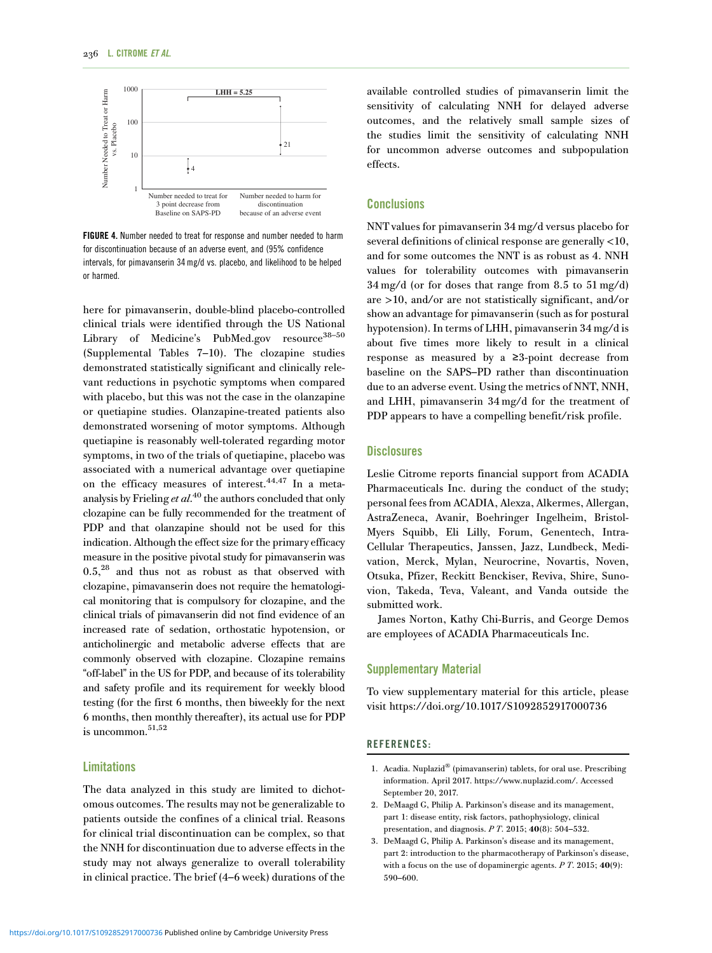<span id="page-8-0"></span>

FIGURE 4. Number needed to treat for response and number needed to harm for discontinuation because of an adverse event, and (95% confidence intervals, for pimavanserin 34 mg/d vs. placebo, and likelihood to be helped or harmed.

here for pimavanserin, double-blind placebo-controlled clinical trials were identified through the US National Library of Medicine's PubMed.gov resource<sup>[38](#page-9-0)-[50](#page-10-0)</sup> (Supplemental Tables 7–10). The clozapine studies demonstrated statistically significant and clinically relevant reductions in psychotic symptoms when compared with placebo, but this was not the case in the olanzapine or quetiapine studies. Olanzapine-treated patients also demonstrated worsening of motor symptoms. Although quetiapine is reasonably well-tolerated regarding motor symptoms, in two of the trials of quetiapine, placebo was associated with a numerical advantage over quetiapine on the efficacy measures of interest.[44,47](#page-10-0) In a meta-analysis by Frieling et al.<sup>[40](#page-9-0)</sup> the authors concluded that only clozapine can be fully recommended for the treatment of PDP and that olanzapine should not be used for this indication. Although the effect size for the primary efficacy measure in the positive pivotal study for pimavanserin was  $0.5<sup>28</sup>$  $0.5<sup>28</sup>$  $0.5<sup>28</sup>$  and thus not as robust as that observed with clozapine, pimavanserin does not require the hematological monitoring that is compulsory for clozapine, and the clinical trials of pimavanserin did not find evidence of an increased rate of sedation, orthostatic hypotension, or anticholinergic and metabolic adverse effects that are commonly observed with clozapine. Clozapine remains "off-label" in the US for PDP, and because of its tolerability and safety profile and its requirement for weekly blood testing (for the first 6 months, then biweekly for the next 6 months, then monthly thereafter), its actual use for PDP is uncommon. $51,52$ 

## Limitations

The data analyzed in this study are limited to dichotomous outcomes. The results may not be generalizable to patients outside the confines of a clinical trial. Reasons for clinical trial discontinuation can be complex, so that the NNH for discontinuation due to adverse effects in the study may not always generalize to overall tolerability in clinical practice. The brief (4–6 week) durations of the available controlled studies of pimavanserin limit the sensitivity of calculating NNH for delayed adverse outcomes, and the relatively small sample sizes of the studies limit the sensitivity of calculating NNH for uncommon adverse outcomes and subpopulation effects.

# **Conclusions**

NNT values for pimavanserin 34 mg/d versus placebo for several definitions of clinical response are generally <10, and for some outcomes the NNT is as robust as 4. NNH values for tolerability outcomes with pimavanserin 34 mg/d (or for doses that range from 8.5 to 51 mg/d) are >10, and/or are not statistically significant, and/or show an advantage for pimavanserin (such as for postural hypotension). In terms of LHH, pimavanserin 34 mg/d is about five times more likely to result in a clinical response as measured by a ≥3-point decrease from baseline on the SAPS–PD rather than discontinuation due to an adverse event. Using the metrics of NNT, NNH, and LHH, pimavanserin 34 mg/d for the treatment of PDP appears to have a compelling benefit/risk profile.

# **Disclosures**

Leslie Citrome reports financial support from ACADIA Pharmaceuticals Inc. during the conduct of the study; personal fees from ACADIA, Alexza, Alkermes, Allergan, AstraZeneca, Avanir, Boehringer Ingelheim, Bristol-Myers Squibb, Eli Lilly, Forum, Genentech, Intra-Cellular Therapeutics, Janssen, Jazz, Lundbeck, Medivation, Merck, Mylan, Neurocrine, Novartis, Noven, Otsuka, Pfizer, Reckitt Benckiser, Reviva, Shire, Sunovion, Takeda, Teva, Valeant, and Vanda outside the submitted work.

James Norton, Kathy Chi-Burris, and George Demos are employees of ACADIA Pharmaceuticals Inc.

# Supplementary Material

To view supplementary material for this article, please visit https://doi.org/10.1017/S1092852917000736

# REFERENCES:

2. DeMaagd G, Philip A. Parkinson's disease and its management, part 1: disease entity, risk factors, pathophysiology, clinical presentation, and diagnosis.  $P T. 2015; 40(8): 504-532$ .

<sup>1.</sup> Acadia. Nuplazid® (pimavanserin) tablets, for oral use. Prescribing information. April 2017. [https://www.nuplazid.com/.](https://www.nuplazid.com/) Accessed September 20, 2017.

<sup>3.</sup> DeMaagd G, Philip A. Parkinson's disease and its management, part 2: introduction to the pharmacotherapy of Parkinson's disease, with a focus on the use of dopaminergic agents.  $P T. 2015; 40(9)$ : 590–600.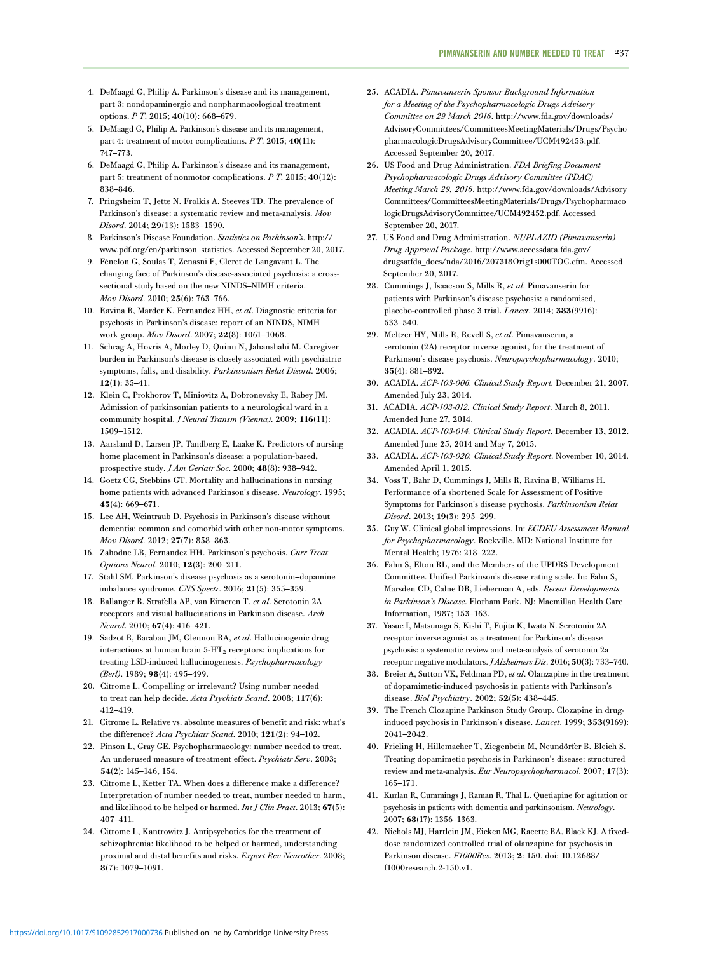- <span id="page-9-0"></span>4. DeMaagd G, Philip A. Parkinson's disease and its management, part 3: nondopaminergic and nonpharmacological treatment options. P T. 2015; 40(10): 668–679.
- 5. DeMaagd G, Philip A. Parkinson's disease and its management, part 4: treatment of motor complications. P T. 2015; 40(11): 747–773.
- 6. DeMaagd G, Philip A. Parkinson's disease and its management, part 5: treatment of nonmotor complications.  $P T. 2015; 40(12)$ : 838–846.
- 7. Pringsheim T, Jette N, Frolkis A, Steeves TD. The prevalence of Parkinson's disease: a systematic review and meta-analysis. Mov Disord. 2014; 29(13): 1583–1590.
- 8. Parkinson's Disease Foundation. Statistics on Parkinson's. [http://](http://www.pdf.org/en/parkinson_statistics) [www.pdf.org/en/parkinson\\_statistics.](http://www.pdf.org/en/parkinson_statistics) Accessed September 20, 2017.
- 9. Fénelon G, Soulas T, Zenasni F, Cleret de Langavant L. The changing face of Parkinson's disease-associated psychosis: a crosssectional study based on the new NINDS–NIMH criteria. Mov Disord. 2010; 25(6): 763–766.
- 10. Ravina B, Marder K, Fernandez HH, et al. Diagnostic criteria for psychosis in Parkinson's disease: report of an NINDS, NIMH work group. Mov Disord. 2007; 22(8): 1061–1068.
- 11. Schrag A, Hovris A, Morley D, Quinn N, Jahanshahi M. Caregiver burden in Parkinson's disease is closely associated with psychiatric symptoms, falls, and disability. Parkinsonism Relat Disord. 2006; 12(1): 35–41.
- 12. Klein C, Prokhorov T, Miniovitz A, Dobronevsky E, Rabey JM. Admission of parkinsonian patients to a neurological ward in a community hospital. *J Neural Transm (Vienna)*. 2009; 116(11): 1509–1512.
- 13. Aarsland D, Larsen JP, Tandberg E, Laake K. Predictors of nursing home placement in Parkinson's disease: a population-based, prospective study. J Am Geriatr Soc. 2000; 48(8): 938–942.
- 14. Goetz CG, Stebbins GT. Mortality and hallucinations in nursing home patients with advanced Parkinson's disease. Neurology. 1995; 45(4): 669–671.
- 15. Lee AH, Weintraub D. Psychosis in Parkinson's disease without dementia: common and comorbid with other non-motor symptoms. Mov Disord. 2012; 27(7): 858–863.
- 16. Zahodne LB, Fernandez HH. Parkinson's psychosis. Curr Treat Options Neurol. 2010; 12(3): 200–211.
- 17. Stahl SM. Parkinson's disease psychosis as a serotonin–dopamine imbalance syndrome. CNS Spectr. 2016; 21(5): 355–359.
- 18. Ballanger B, Strafella AP, van Eimeren T, et al. Serotonin 2A receptors and visual hallucinations in Parkinson disease. Arch Neurol. 2010; 67(4): 416–421.
- 19. Sadzot B, Baraban JM, Glennon RA, et al. Hallucinogenic drug interactions at human brain 5-HT<sub>2</sub> receptors: implications for treating LSD-induced hallucinogenesis. Psychopharmacology (Berl). 1989; 98(4): 495–499.
- 20. Citrome L. Compelling or irrelevant? Using number needed to treat can help decide. Acta Psychiatr Scand. 2008; 117(6): 412–419.
- 21. Citrome L. Relative vs. absolute measures of benefit and risk: what's the difference? Acta Psychiatr Scand. 2010; 121(2): 94–102.
- 22. Pinson L, Gray GE. Psychopharmacology: number needed to treat. An underused measure of treatment effect. Psychiatr Serv. 2003; 54(2): 145–146, 154.
- 23. Citrome L, Ketter TA. When does a difference make a difference? Interpretation of number needed to treat, number needed to harm, and likelihood to be helped or harmed. Int J Clin Pract. 2013; 67(5): 407–411.
- 24. Citrome L, Kantrowitz J. Antipsychotics for the treatment of schizophrenia: likelihood to be helped or harmed, understanding proximal and distal benefits and risks. Expert Rev Neurother. 2008; 8(7): 1079–1091.
- 25. ACADIA. Pimavanserin Sponsor Background Information for a Meeting of the Psychopharmacologic Drugs Advisory Committee on 29 March 2016. [http://www.fda.gov/downloads/](http://www.fda.gov/downloads/AdvisoryCommittees/CommitteesMeetingMaterials/Drugs/PsychopharmacologicDrugsAdvisoryCommittee/UCM492453.pdf) [AdvisoryCommittees/CommitteesMeetingMaterials/Drugs/Psycho](http://www.fda.gov/downloads/AdvisoryCommittees/CommitteesMeetingMaterials/Drugs/PsychopharmacologicDrugsAdvisoryCommittee/UCM492453.pdf) [pharmacologicDrugsAdvisoryCommittee/UCM492453.pdf](http://www.fda.gov/downloads/AdvisoryCommittees/CommitteesMeetingMaterials/Drugs/PsychopharmacologicDrugsAdvisoryCommittee/UCM492453.pdf). Accessed September 20, 2017.
- 26. US Food and Drug Administration. FDA Briefing Document Psychopharmacologic Drugs Advisory Committee (PDAC) Meeting March 29, 2016. [http://www.fda.gov/downloads/Advisory](http://www.fda.gov/downloads/AdvisoryCommittees/CommitteesMeetingMaterials/Drugs/PsychopharmacologicDrugsAdvisoryCommittee/UCM492452.pdf) [Committees/CommitteesMeetingMaterials/Drugs/Psychopharmaco](http://www.fda.gov/downloads/AdvisoryCommittees/CommitteesMeetingMaterials/Drugs/PsychopharmacologicDrugsAdvisoryCommittee/UCM492452.pdf) [logicDrugsAdvisoryCommittee/UCM492452.pdf](http://www.fda.gov/downloads/AdvisoryCommittees/CommitteesMeetingMaterials/Drugs/PsychopharmacologicDrugsAdvisoryCommittee/UCM492452.pdf). Accessed September 20, 2017.
- 27. US Food and Drug Administration. NUPLAZID (Pimavanserin) Drug Approval Package. [http://www.accessdata.fda.gov/](http://www.accessdata.fda.gov/drugsatfda_docs/nda/2016�/�207318Orig1s000TOC.cfm) [drugsatfda\\_docs/nda/2016/207318Orig1s000TOC.cfm.](http://www.accessdata.fda.gov/drugsatfda_docs/nda/2016�/�207318Orig1s000TOC.cfm) Accessed September 20, 2017.
- 28. Cummings J, Isaacson S, Mills R, et al. Pimavanserin for patients with Parkinson's disease psychosis: a randomised, placebo-controlled phase 3 trial. Lancet. 2014; 383(9916): 533–540.
- 29. Meltzer HY, Mills R, Revell S, et al. Pimavanserin, a serotonin (2A) receptor inverse agonist, for the treatment of Parkinson's disease psychosis. Neuropsychopharmacology. 2010; 35(4): 881–892.
- 30. ACADIA. ACP-103-006. Clinical Study Report. December 21, 2007. Amended July 23, 2014.
- 31. ACADIA. ACP-103-012. Clinical Study Report. March 8, 2011. Amended June 27, 2014.
- 32. ACADIA. ACP-103-014. Clinical Study Report. December 13, 2012. Amended June 25, 2014 and May 7, 2015.
- 33. ACADIA. ACP-103-020. Clinical Study Report. November 10, 2014. Amended April 1, 2015.
- 34. Voss T, Bahr D, Cummings J, Mills R, Ravina B, Williams H. Performance of a shortened Scale for Assessment of Positive Symptoms for Parkinson's disease psychosis. Parkinsonism Relat Disord. 2013; 19(3): 295–299.
- 35. Guy W. Clinical global impressions. In: ECDEU Assessment Manual for Psychopharmacology. Rockville, MD: National Institute for Mental Health; 1976: 218–222.
- 36. Fahn S, Elton RL, and the Members of the UPDRS Development Committee. Unified Parkinson's disease rating scale. In: Fahn S, Marsden CD, Calne DB, Lieberman A, eds. Recent Developments in Parkinson's Disease. Florham Park, NJ: Macmillan Health Care Information, 1987; 153–163.
- 37. Yasue I, Matsunaga S, Kishi T, Fujita K, Iwata N. Serotonin 2A receptor inverse agonist as a treatment for Parkinson's disease psychosis: a systematic review and meta-analysis of serotonin 2a receptor negative modulators. JAlzheimers Dis. 2016; 50(3): 733-740.
- 38. Breier A, Sutton VK, Feldman PD, et al. Olanzapine in the treatment of dopamimetic-induced psychosis in patients with Parkinson's disease. Biol Psychiatry. 2002; 52(5): 438–445.
- 39. The French Clozapine Parkinson Study Group. Clozapine in druginduced psychosis in Parkinson's disease. Lancet. 1999; 353(9169): 2041–2042.
- 40. Frieling H, Hillemacher T, Ziegenbein M, Neundörfer B, Bleich S. Treating dopamimetic psychosis in Parkinson's disease: structured review and meta-analysis. Eur Neuropsychopharmacol. 2007; 17(3): 165–171.
- 41. Kurlan R, Cummings J, Raman R, Thal L. Quetiapine for agitation or psychosis in patients with dementia and parkinsonism. Neurology. 2007; 68(17): 1356–1363.
- 42. Nichols MJ, Hartlein JM, Eicken MG, Racette BA, Black KJ. A fixeddose randomized controlled trial of olanzapine for psychosis in Parkinson disease. F1000Res. 2013; 2: 150. doi: [10.12688/](https://doi.org/10.12688/f1000research.2-150.v1) [f1000research.2-150.v1](https://doi.org/10.12688/f1000research.2-150.v1).